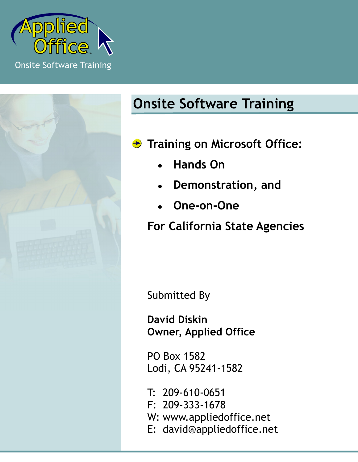



# **Onsite Software Training**

- **Training on Microsoft Office:** 
	- **Hands On**
	- **Demonstration, and**
	- **One-on-One**

**For California State Agencies**

Submitted By

**David Diskin Owner, Applied Office**

PO Box 1582 Lodi, CA 95241-1582

T: 209-610-0651 F: 209-333-1678 W: www.appliedoffice.net E: david@appliedoffice.net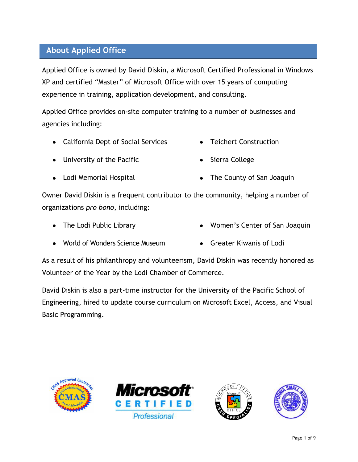# **About Applied Office**

Applied Office is owned by David Diskin, a Microsoft Certified Professional in Windows XP and certified "Master" of Microsoft Office with over 15 years of computing experience in training, application development, and consulting.

Applied Office provides on-site computer training to a number of businesses and agencies including:

- California Dept of Social Services
- Teichert Construction

University of the Pacific

• Sierra College

Lodi Memorial Hospital

• The County of San Joaquin

Owner David Diskin is a frequent contributor to the community, helping a number of organizations *pro bono*, including:

• The Lodi Public Library

- Women's Center of San Joaquin
- World of Wonders Science Museum
- Greater Kiwanis of Lodi

As a result of his philanthropy and volunteerism, David Diskin was recently honored as Volunteer of the Year by the Lodi Chamber of Commerce.

David Diskin is also a part-time instructor for the University of the Pacific School of Engineering, hired to update course curriculum on Microsoft Excel, Access, and Visual Basic Programming.







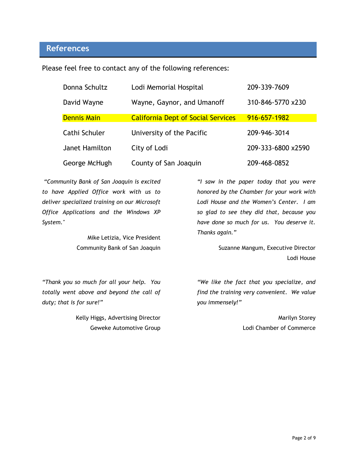## **References**

Please feel free to contact any of the following references:

| Donna Schultz      | Lodi Memorial Hospital                    | 209-339-7609       |
|--------------------|-------------------------------------------|--------------------|
| David Wayne        | Wayne, Gaynor, and Umanoff                | 310-846-5770 x230  |
| <b>Dennis Main</b> | <b>California Dept of Social Services</b> | 916-657-1982       |
| Cathi Schuler      | University of the Pacific                 | 209-946-3014       |
| Janet Hamilton     | City of Lodi                              | 209-333-6800 x2590 |
| George McHugh      | County of San Joaquin                     | 209-468-0852       |

*"Community Bank of San Joaquin is excited to have Applied Office work with us to deliver specialized training on our Microsoft Office Applications and the Windows XP System."* 

> Mike Letizia, Vice President Community Bank of San Joaquin

*"Thank you so much for all your help. You totally went above and beyond the call of duty; that is for sure!"*

> Kelly Higgs, Advertising Director Geweke Automotive Group

*"I saw in the paper today that you were honored by the Chamber for your work with Lodi House and the Women's Center. I am so glad to see they did that, because you have done so much for us. You deserve it. Thanks again."*

> Suzanne Mangum, Executive Director Lodi House

*"We like the fact that you specialize, and find the training very convenient. We value you immensely!"*

> Marilyn Storey Lodi Chamber of Commerce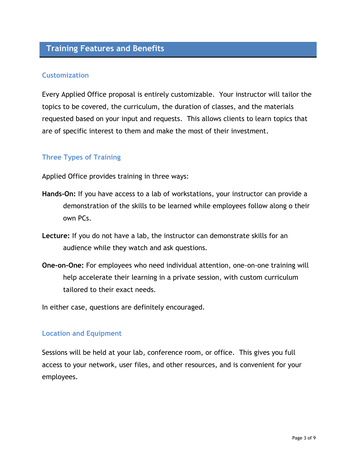# **Training Features and Benefits**

## **Customization**

Every Applied Office proposal is entirely customizable. Your instructor will tailor the topics to be covered, the curriculum, the duration of classes, and the materials requested based on your input and requests. This allows clients to learn topics that are of specific interest to them and make the most of their investment.

## **Three Types of Training**

Applied Office provides training in three ways:

- **Hands-On:** If you have access to a lab of workstations, your instructor can provide a demonstration of the skills to be learned while employees follow along o their own PCs.
- **Lecture:** If you do not have a lab, the instructor can demonstrate skills for an audience while they watch and ask questions.
- **One-on-One:** For employees who need individual attention, one-on-one training will help accelerate their learning in a private session, with custom curriculum tailored to their exact needs.

In either case, questions are definitely encouraged.

#### **Location and Equipment**

Sessions will be held at your lab, conference room, or office. This gives you full access to your network, user files, and other resources, and is convenient for your employees.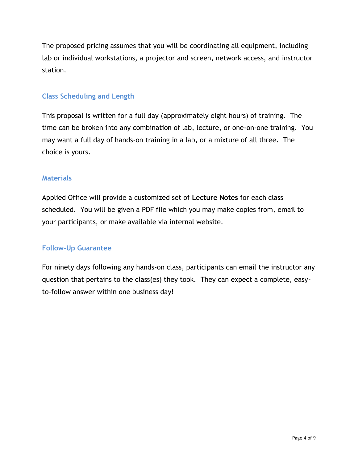The proposed pricing assumes that you will be coordinating all equipment, including lab or individual workstations, a projector and screen, network access, and instructor station.

## **Class Scheduling and Length**

This proposal is written for a full day (approximately eight hours) of training. The time can be broken into any combination of lab, lecture, or one-on-one training. You may want a full day of hands-on training in a lab, or a mixture of all three. The choice is yours.

## **Materials**

Applied Office will provide a customized set of **Lecture Notes** for each class scheduled. You will be given a PDF file which you may make copies from, email to your participants, or make available via internal website.

## **Follow-Up Guarantee**

For ninety days following any hands-on class, participants can email the instructor any question that pertains to the class(es) they took. They can expect a complete, easyto-follow answer within one business day!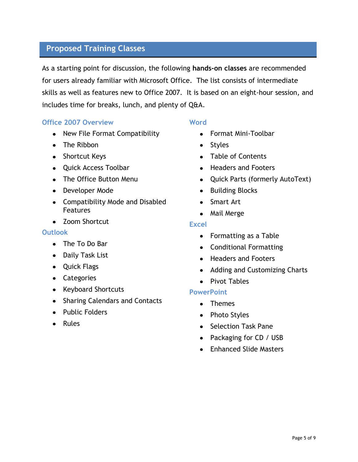## **Proposed Training Classes**

As a starting point for discussion, the following **hands-on classes** are recommended for users already familiar with Microsoft Office. The list consists of intermediate skills as well as features new to Office 2007. It is based on an eight-hour session, and includes time for breaks, lunch, and plenty of Q&A.

## **Office 2007 Overview**

- New File Format Compatibility
- The Ribbon
- Shortcut Keys
- Quick Access Toolbar
- The Office Button Menu
- Developer Mode
- Compatibility Mode and Disabled Features
- Zoom Shortcut

#### **Outlook**

- The To Do Bar
- Daily Task List
- Quick Flags
- Categories
- Keyboard Shortcuts
- Sharing Calendars and Contacts
- Public Folders
- Rules

#### **Word**

- Format Mini-Toolbar
- Styles
- Table of Contents
- Headers and Footers
- Quick Parts (formerly AutoText)
- Building Blocks
- Smart Art
- Mail Merge

#### **Excel**

- Formatting as a Table
- Conditional Formatting
- Headers and Footers
- Adding and Customizing Charts
- Pivot Tables

#### **PowerPoint**

- Themes
- Photo Styles
- Selection Task Pane
- Packaging for CD / USB
- Enhanced Slide Masters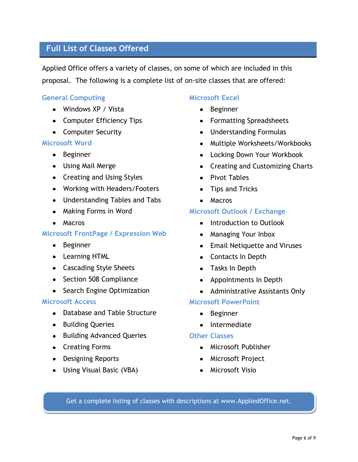# **Full List of Classes Offered**

Applied Office offers a variety of classes, on some of which are included in this proposal. The following is a complete list of on-site classes that are offered:

#### **General Computing**

- Windows XP / Vista
- Computer Efficiency Tips
- Computer Security

#### **Microsoft Word**

- Beginner
- Using Mail Merge
- Creating and Using Styles
- Working with Headers/Footers
- Understanding Tables and Tabs
- Making Forms in Word
- Macros

#### **Microsoft FrontPage / Expression Web**

- Beginner
- Learning HTML
- Cascading Style Sheets
- Section 508 Compliance
- Search Engine Optimization

#### **Microsoft Access**

- Database and Table Structure
- Building Queries
- Building Advanced Queries
- Creating Forms
- Designing Reports
- Using Visual Basic (VBA)

#### **Microsoft Excel**

- Beginner
- Formatting Spreadsheets
- Understanding Formulas
- Multiple Worksheets/Workbooks
- Locking Down Your Workbook
- Creating and Customizing Charts
- Pivot Tables
- Tips and Tricks
- Macros

#### **Microsoft Outlook / Exchange**

- Introduction to Outlook
- Managing Your Inbox
- Email Netiquette and Viruses
- Contacts In Depth
- Tasks In Depth
- Appointments In Depth
- Administrative Assistants Only

#### **Microsoft PowerPoint**

- Beginner
- Intermediate

#### **Other Classes**

- Microsoft Publisher
- Microsoft Project
- Microsoft Visio

Get a complete listing of classes with descriptions at www.AppliedOffice.net.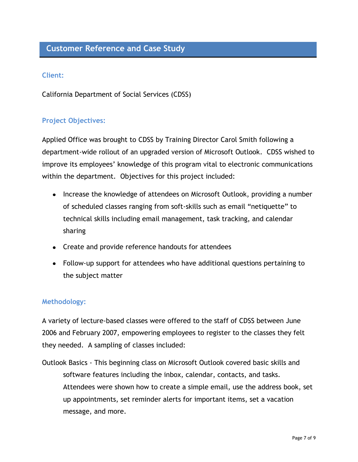# **Customer Reference and Case Study**

## **Client:**

California Department of Social Services (CDSS)

## **Project Objectives:**

Applied Office was brought to CDSS by Training Director Carol Smith following a department-wide rollout of an upgraded version of Microsoft Outlook. CDSS wished to improve its employees' knowledge of this program vital to electronic communications within the department. Objectives for this project included:

- Increase the knowledge of attendees on Microsoft Outlook, providing a number of scheduled classes ranging from soft-skills such as email "netiquette" to technical skills including email management, task tracking, and calendar sharing
- Create and provide reference handouts for attendees
- Follow-up support for attendees who have additional questions pertaining to the subject matter

#### **Methodology:**

A variety of lecture-based classes were offered to the staff of CDSS between June 2006 and February 2007, empowering employees to register to the classes they felt they needed. A sampling of classes included:

Outlook Basics - This beginning class on Microsoft Outlook covered basic skills and software features including the inbox, calendar, contacts, and tasks. Attendees were shown how to create a simple email, use the address book, set up appointments, set reminder alerts for important items, set a vacation message, and more.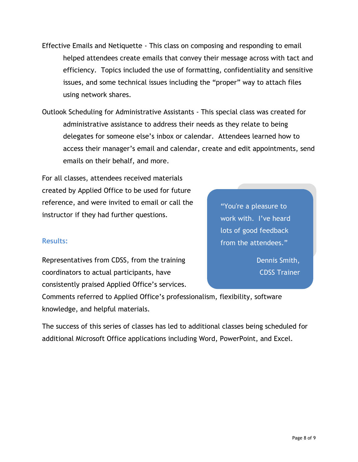- Effective Emails and Netiquette This class on composing and responding to email helped attendees create emails that convey their message across with tact and efficiency. Topics included the use of formatting, confidentiality and sensitive issues, and some technical issues including the "proper" way to attach files using network shares.
- Outlook Scheduling for Administrative Assistants This special class was created for administrative assistance to address their needs as they relate to being delegates for someone else's inbox or calendar. Attendees learned how to access their manager's email and calendar, create and edit appointments, send emails on their behalf, and more.

For all classes, attendees received materials created by Applied Office to be used for future reference, and were invited to email or call the instructor if they had further questions.

**Results:**

Representatives from CDSS, from the training coordinators to actual participants, have consistently praised Applied Office's services.

work with. I've heard lots of good feedback from the attendees."

"You're a pleasure to

Dennis Smith, CDSS Trainer

Comments referred to Applied Office's professionalism, flexibility, software knowledge, and helpful materials.

The success of this series of classes has led to additional classes being scheduled for additional Microsoft Office applications including Word, PowerPoint, and Excel.